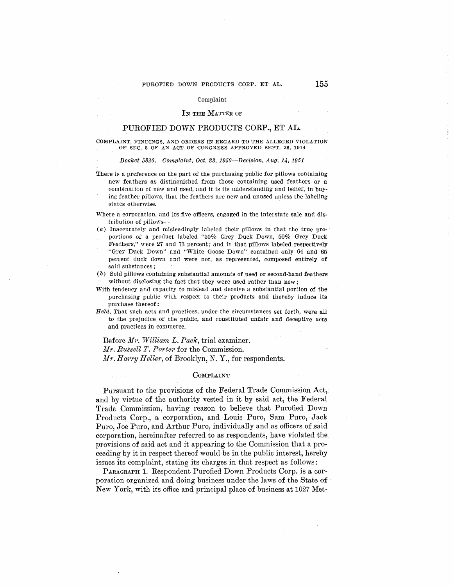#### Complaint

### IN THE MATTER OF

# PUROFIED DOWN PRODUCTS CORP., ET AL.

COMPLAINT, FINDINGS, AND ORDERS IN REGARD TO THE ALLEGED VIOLATION OF SEC. 5 OF AN ACT OF CONGRESS APPROVED SEPT. 26, 1914

#### *Docket 5820. Complaint, Oct. 23, 1950—Decision, Aug. 14, 1951*

- There is a preference on the part of the purchasing public for pillows containing new feathers as distinguished from those containing used feathers or a combination of new and usecl, and it is its understanding and belief, in buying feather pillows, that the feathers are new and unused unless the labeling states otherwise.
- Where a corporation, and its five officers, engaged in the interstate sale and distribution of pillows-
- $(a)$  Inaccurately and misleadingly labeled their pillows in that the true proportions of a product labeled "50% Grey Duck Down, 50% Grey Duck Feathers," were 27 and 73 percent; and in that pillows labeled respectively "Grey Duck Down" and "White Goose Down" contained only 64 and 65 percent duck down and were not, as represented, composed entirely of said substances;
- ( b) Sold pillows containing substantial amounts of used or second-hand feathers without disclosing the fact that they were used rather than new;
- With tendency and capacity to mislead and deceive a substantial portion of the purchasing public with respect to their products and thereby induce its purchase thereof :

*Held.*, That such acts and practices, under the circumstances set forth, were all to the prejudice of the public, and constituted unfair and deceptive acts and practices in commerce.

Before *M1·. Williani L. Pack,* trial examiner.

*Mr. Russell T. Porter* for the Commission.

*Mr. Harry Heller, of Brooklyn, N.Y., for respondents.* 

## COMPLAINT

Pursuant to the provisions of the Federal Trade Commission Act, and by virtue of the authority vested in it by said act, the Federal Trade Commission, having reason to believe that Purofied Down Products Corp., a corporation, and Louis Puro, Sam Puro, Jack\_ Puro, Joe Puro, and Arthur Puro, individually and as officers of said corporation, hereinafter referred to as respondents, have violated the provisions of said act and it appearing to the Commission that a proceeding by it in respect thereof would be in the public interest, hereby issues its complaint, stating its charges in that respect as follows:

PARAGRAPH 1. Respondent Purofied Down Products Corp. is a corporation organized and doing business under. the laws of the State **of**  New York, with its office and principal place of business at 1027 Met-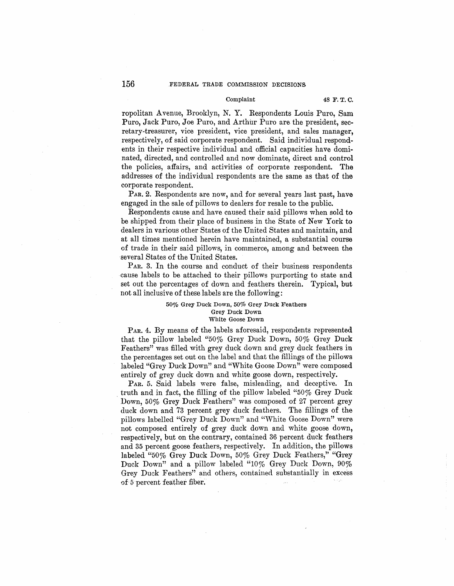## Complaint 48 **F.T.C.**

ropolitan A venue, Brooklyn, N. Y. Respondents Louis Puro, Sam Puro, Jack Puro, Joe Puro, and Arthur Puro are the president, secretary-treasurer, vice president, vice president, and sales manager, respectively, of said corporate respondent. Said individual respondents in their respective individual and official capacities have dominated, directed, and controlled and now dominate, direct and control the policies, affairs, and activities of corporate respondent. The addresses of the individual respondents are the same as that of the corporate respondent.

PAR. 2. Respondents are now, and for several years last past, have engaged in the sale of pillows to dealers for resale to the public.

Respondents cause and have caused their said pillows when sold to be shipped from their place of business in the State of New York to dealers in various other States of the United States and maintain, and at all times mentioned herein have maintained, a substantial course of trade in their said pillows, in commerce, among and between the several States of the United States.

P<sub>AR</sub>. 3. In the course and conduct of their business respondents cause labels to be attached to their pillows purporting to state and set out the percentages of down and feathers therein. Typical, but not all inclusive of these labels are the following:

#### 50% Grey Duck Down, 50% Grey Duck Feathers **Grey Duck Down**  White Goose Down

PAR. 4. By means of the labels aforesaid, respondents represented that the pillow labeled "50% Grey Duck Down, 50% Grey Duck Feathers" was filled with grey duck down and grey duck feathers **in**  the percentages set out on the label and that the fillings of the pillows labeled "Grey Duck Down" and "White Goose Down" were composed entirely of grey duck down and white goose down, respectively.

PAR. 5. Said labels were false, misleading, and deceptive. In . truth and in fact, the filling of the pillow labeled "50% Grey Duck Down, 50% Grey Duck Feathers" was composed of 27 percent grey duck down and 73 percent grey duck feathers. The fillings of the pillows labelled "Grey Duck Down" and "'White Goose Down" were not composed entirely of grey duck down and white goose down, respectively, but on the contrary, contained 36 percent duck feathers and 35 percent goose feathers, respectively. In addition, the pillows labeled "50% Grey Duck Down, 50% Grey Duck Feathers,'' "Grey Duck Down" and a pillow labeled "10% Grey Duck Down, 90% Grey Duck Feathers" and others, contained substantially in excess of 5 percent feather fiber.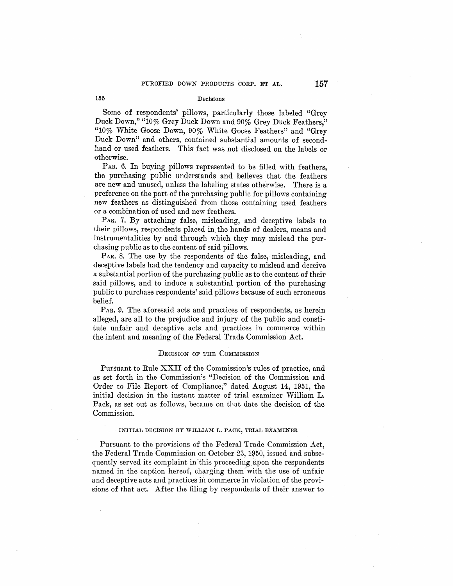## **155** Decisions

Some of respondents' pillows, particularly those labeled "Grey Duck Down," "10% Grey Duck Down and 90% Grey Duck Feathers," "10% White Goose Down, 90% White Goose Feathers" and "Grey Duck Down" and others, contained substantial amounts of secondhand or used feathers. This fact was not disclosed on the labels or otherwise.

PAR. 6. In buying pillows represented to be filled with feathers, the purchasing public understands and believes that the feathers are new and unused, unless the labeling states otherwise. There is a preference on the part of the purchasing public for pillows containing new feathers as distinguished from those containing used feathers or a combination of used and new feathers.

PAR. 7. By attaching false, misleading, and deceptive labels to their pillows, respondents placed in\_ the hands of dealers, means and instrumentalities by and through which they may mislead the purchasing public as to the content of said pillows.

PAR. 8. The use by the respondents of the false, misleading, and deceptive labels had the tendency and capacity to mislead and deceive a substantial portion of the purchasing public as to the content of their said pillows, and to induce a substantial portion of the purchasing public to purchase respondents' said pillows because of such erroneous belief.

PAR. 9. The aforesaid acts and practices of respondents, as herein alleged, are all to the prejudice and injury of the public and constitute unfair and deceptive acts and practices in commerce within the intent and meaning of the Federal Trade Commission Act.

## DECISION OF THE COMMISSION

Pursuant to Rule XXII of the Commission's rules of practice, and as set forth in the Commission's "Decision of the Commission and Order to File Report of Compliance," dated August 14, 1951, the initial decision in the instant matter of trial examiner William **L.**  Pack, as set out as follows, became on that date the decision of the Commission.

#### **INITIAL DECISION BY WILLIAM L. PACK, TRIAL EXAMINER**

Pursuant to the provisions of the Federal Trade Commission Act, the Federal Trade Commission on October 23, 1950, issued and subsequently served its complaint in this proceeding upon the respondents named in the caption hereof, charging them with the use of unfair and deceptive acts and practices in commerce in violation of the provisions of that act. After the filing by respondents of their answer to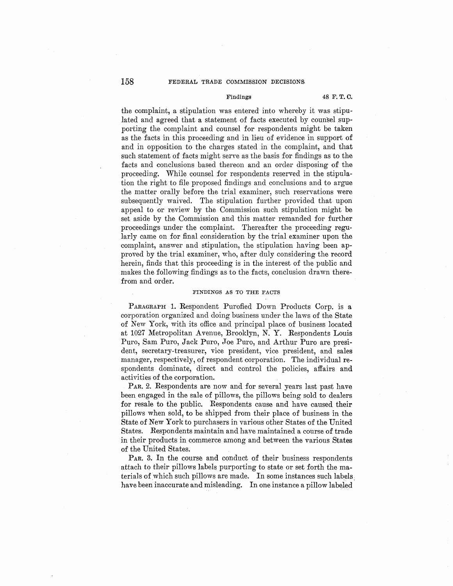## 158 FEDERAL TRADE COMMISSION DECISIONS

## **Findings 48 F.T.C.**

the complaint, a stipulation was entered into whereby it was stipulated and agreed that a statement of facts executed by counsel supporting the complaint and counsel for respondents might be taken as the facts in this proceeding and in lieu of evidence in support of and in opposition to the charges stated in the complaint, and that such statement of facts might serve as the basis for findings as to the facts and conclusions based thereon and an order disposing of the proceeding. While counsel for respondents reserved in the stipulation the right to file proposed findings and conclusions and to argue the matter orally before the trial examiner, such reservations were subsequently waived. The stipulation further provided that upon appeal to or review by the Commission such stipulation might be set aside by the Commission and this matter remanded for further proceedings under the complaint. Thereafter the proceeding regularly came on for final consideration by the trial examiner upon the complaint, answer and stipulation, the stipulation having been approved by the trial examiner, who, after duly considering the record herein, finds that this proceeding is in the interest of the public and makes the following findings as to the facts, conclusion drawn therefrom and order.

## **FINDINGS AS TO THE FACTS**

PARAGRAPH 1. Respondent Purofied Down Products Corp. is a corporation organized and doing business under the laws of the State of New York, with its office and principal place of business located at 1027 Metropolitan A venue, Brooklyn, N. Y. Respondents Louis Puro, Sam Puro, Jack Puro, Joe Puro, and Arthur Puro are president, secretary-treasurer, vice president, vice president, and sales manager, respectively, of respondent corporation. The individual respondents dominate, direct and control the policies, affairs and activities of the corporation.

PAR. 2. Respondents are now and for several years last past have been engaged in the sale of pillows, the pillows being sold to dealers for resale to the public. Respondents cause and have caused their pillows when sold, to be shipped from their place of business in the State of New York to purchasers in various other States of the United States. Respondents maintain and have maintained a course of trade in their products in commerce among and between the various States of the United States.

PAR. 3. In the course and conduct of their business respondents attach to their pillows labels purporting to state or set forth the materials of which such pillows are made. In some instances such labels. have been inaccurate and misleading. In one instance a pillow labeled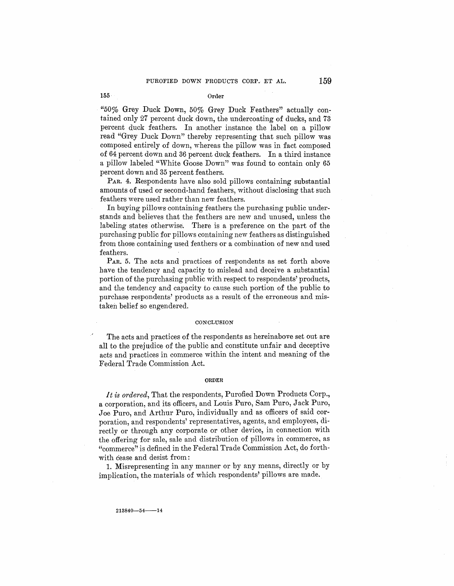155· Order

"50% Grey Duck Down, 50% Grey Duck Feathers" actually contained only 27 percent duck down, the undercoating of ducks, and 73 percent duck feathers. In another instance the label on a pillow read "Grey Duck Down" thereby representing that such pillow was composed entirely of down, whereas the pillow was in fact composed of 64 percent down and 36 percent duck feathers. In a third instance a pillow labeled "White Goose Down" was found to contain only 65 percent down and 35 percent feathers.

PAR. 4. Respondents have also sold pillows containing substantial amounts of used or second-hand feathers, without disclosing that such feathers were used rather than new feathers.

In buying pillows containing feathers the purchasing public understands and believes that the feathers are new and unused, unless the labeling states otherwise. There is a preference on the part of the purchasing public for pillows containing new feathers as distinguished from those containing used feathers or a combination of new and used feathers.

P<sub>AR</sub>. 5. The acts and practices of respondents as set forth above have the tendency and capacity to mislead and deceive a substantial portion of the purchasing public with respect to respondents' products, and the tendency and capacity to cause such portion of the public to purchase respondents' products as a result of the erroneous and mistaken belief so engendered.

### **CONCLUSION**

The acts and practices of the respondents as hereinabove set out are all to the prejudice of the public and constitute unfair and deceptive acts and practices in commerce within the intent and meaning of the Federal Trade Commission Act.

#### **ORDER**

*It is ordered,* That the respondents, Purofied Down Products Corp., a corporation, and its officers, and Louis Puro, Sam Puro, Jack Puro, Joe Puro, and Arthur Puro, individually and as officers of said corporation, and respondents' representatives, agents, and employees, directly or through any corporate or other device, in connection with the offering for sale, sale and distribution of pillows in commerce, as "commerce" is defined in the Federal Trade Commission Act, do forthwith cease and desist from:

1. Misrepresenting in any manner or by any means, directly or by implication, the materials 0£ which respondents' pillows are made.

**213840'---54-14**